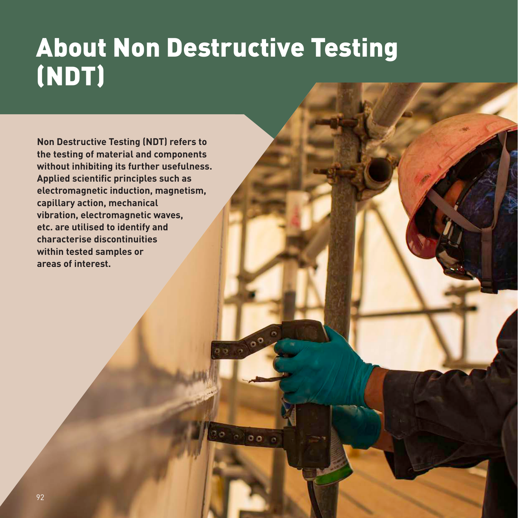## About Non Destructive Testing (NDT)

 $0<sub>0</sub>$ 

**Non Destructive Testing (NDT) refers to the testing of material and components without inhibiting its further usefulness. Applied scientific principles such as electromagnetic induction, magnetism, capillary action, mechanical vibration, electromagnetic waves, etc. are utilised to identify and characterise discontinuities within tested samples or areas of interest.**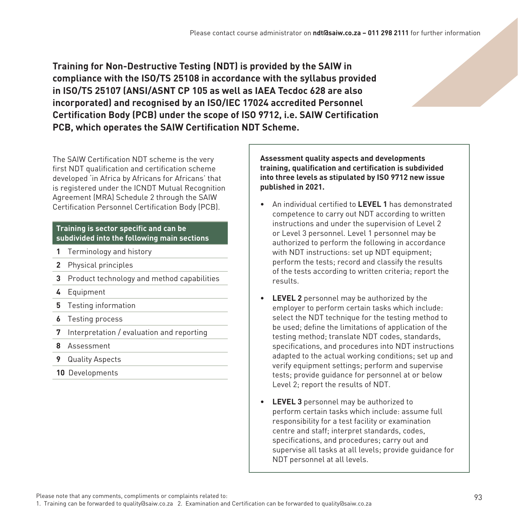**Training for Non-Destructive Testing (NDT) is provided by the SAIW in compliance with the ISO/TS 25108 in accordance with the syllabus provided in ISO/TS 25107 (ANSI/ASNT CP 105 as well as IAEA Tecdoc 628 are also incorporated) and recognised by an ISO/IEC 17024 accredited Personnel Certification Body (PCB) under the scope of ISO 9712, i.e. SAIW Certification PCB, which operates the SAIW Certification NDT Scheme.**

The SAIW Certification NDT scheme is the very first NDT qualification and certification scheme developed 'in Africa by Africans for Africans' that is registered under the ICNDT Mutual Recognition Agreement (MRA) Schedule 2 through the SAIW Certification Personnel Certification Body (PCB).

#### **Training is sector specific and can be subdivided into the following main sections**

- **1** Terminology and history
- **2** Physical principles
- **3** Product technology and method capabilities
- **4** Equipment
- **5** Testing information
- **6** Testing process
- **7** Interpretation / evaluation and reporting
- **8** Assessment
- **9** Quality Aspects
- **10** Developments

**Assessment quality aspects and developments training, qualification and certification is subdivided into three levels as stipulated by ISO 9712 new issue published in 2021.**

- An individual certified to **LEVEL 1** has demonstrated competence to carry out NDT according to written instructions and under the supervision of Level 2 or Level 3 personnel. Level 1 personnel may be authorized to perform the following in accordance with NDT instructions: set up NDT equipment; perform the tests; record and classify the results of the tests according to written criteria; report the results.
- **LEVEL 2** personnel may be authorized by the employer to perform certain tasks which include: select the NDT technique for the testing method to be used; define the limitations of application of the testing method; translate NDT codes, standards, specifications, and procedures into NDT instructions adapted to the actual working conditions; set up and verify equipment settings; perform and supervise tests; provide guidance for personnel at or below Level 2; report the results of NDT.
- **LEVEL 3** personnel may be authorized to perform certain tasks which include: assume full responsibility for a test facility or examination centre and staff; interpret standards, codes, specifications, and procedures; carry out and supervise all tasks at all levels; provide guidance for NDT personnel at all levels.

Please note that any comments, compliments or complaints related to: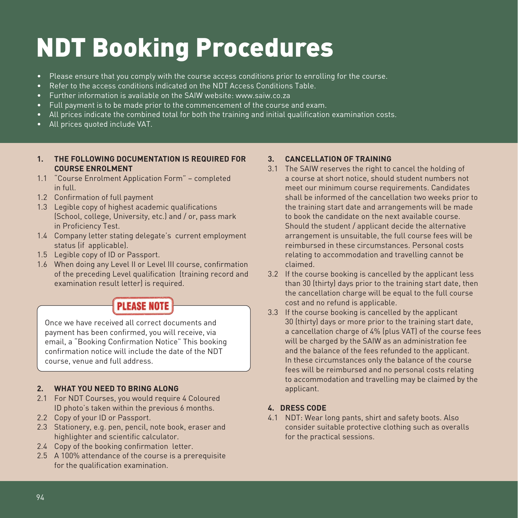# NDT Booking Procedures

- Please ensure that you comply with the course access conditions prior to enrolling for the course.
- Refer to the access conditions indicated on the NDT Access Conditions Table.
- Further information is available on the SAIW website: www.saiw.co.za
- Full payment is to be made prior to the commencement of the course and exam.
- All prices indicate the combined total for both the training and initial qualification examination costs.
- All prices quoted include VAT.

#### **1. THE FOLLOWING DOCUMENTATION IS REQUIRED FOR COURSE ENROLMENT**

- 1.1 "Course Enrolment Application Form" completed in full.
- 1.2 Confirmation of full payment
- 1.3 Legible copy of highest academic qualifications (School, college, University, etc.) and / or, pass mark in Proficiency Test.
- 1.4 Company letter stating delegate's current employment status (if applicable).
- 1.5 Legible copy of ID or Passport.
- 1.6 When doing any Level II or Level III course, confirmation of the preceding Level qualification (training record and examination result letter) is required.

### **PLEASE NOTE**

Once we have received all correct documents and payment has been confirmed, you will receive, via email, a "Booking Confirmation Notice" This booking confirmation notice will include the date of the NDT course, venue and full address.

#### **2. WHAT YOU NEED TO BRING ALONG**

- 2.1 For NDT Courses, you would require 4 Coloured ID photo's taken within the previous 6 months.
- 2.2 Copy of your ID or Passport.
- 2.3 Stationery, e.g. pen, pencil, note book, eraser and highlighter and scientific calculator.
- 2.4 Copy of the booking confirmation letter.
- 2.5 A 100% attendance of the course is a prerequisite for the qualification examination.

#### **3. CANCELLATION OF TRAINING**

- 3.1 The SAIW reserves the right to cancel the holding of a course at short notice, should student numbers not meet our minimum course requirements. Candidates shall be informed of the cancellation two weeks prior to the training start date and arrangements will be made to book the candidate on the next available course. Should the student / applicant decide the alternative arrangement is unsuitable, the full course fees will be reimbursed in these circumstances. Personal costs relating to accommodation and travelling cannot be claimed.
- 3.2 If the course booking is cancelled by the applicant less than 30 (thirty) days prior to the training start date, then the cancellation charge will be equal to the full course cost and no refund is applicable.
- 3.3 If the course booking is cancelled by the applicant 30 (thirty) days or more prior to the training start date, a cancellation charge of 4% (plus VAT) of the course fees will be charged by the SAIW as an administration fee and the balance of the fees refunded to the applicant. In these circumstances only the balance of the course fees will be reimbursed and no personal costs relating to accommodation and travelling may be claimed by the applicant.

#### **4. DRESS CODE**

4.1 NDT: Wear long pants, shirt and safety boots. Also consider suitable protective clothing such as overalls for the practical sessions.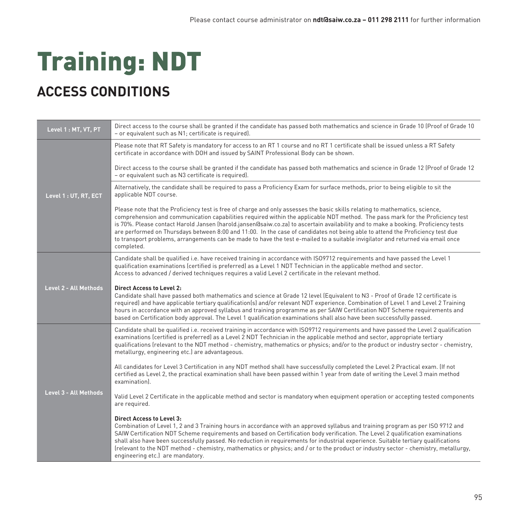# Training: NDT

## **ACCESS CONDITIONS**

| Level 1 : MT, VT, PT  | Direct access to the course shall be granted if the candidate has passed both mathematics and science in Grade 10 (Proof of Grade 10<br>- or equivalent such as N1; certificate is required).                                                                                                                                                                                                                                                                                                                                                                                                                                                                                           |
|-----------------------|-----------------------------------------------------------------------------------------------------------------------------------------------------------------------------------------------------------------------------------------------------------------------------------------------------------------------------------------------------------------------------------------------------------------------------------------------------------------------------------------------------------------------------------------------------------------------------------------------------------------------------------------------------------------------------------------|
|                       | Please note that RT Safety is mandatory for access to an RT 1 course and no RT 1 certificate shall be issued unless a RT Safety<br>certificate in accordance with DOH and issued by SAINT Professional Body can be shown.                                                                                                                                                                                                                                                                                                                                                                                                                                                               |
| Level 1 : UT, RT, ECT | Direct access to the course shall be granted if the candidate has passed both mathematics and science in Grade 12 (Proof of Grade 12<br>- or equivalent such as N3 certificate is required).                                                                                                                                                                                                                                                                                                                                                                                                                                                                                            |
|                       | Alternatively, the candidate shall be required to pass a Proficiency Exam for surface methods, prior to being eligible to sit the<br>applicable NDT course.                                                                                                                                                                                                                                                                                                                                                                                                                                                                                                                             |
|                       | Please note that the Proficiency test is free of charge and only assesses the basic skills relating to mathematics, science,<br>comprehension and communication capabilities required within the applicable NDT method. The pass mark for the Proficiency test<br>is 70%. Please contact Harold Jansen (harold.jansen@saiw.co.za) to ascertain availability and to make a booking. Proficiency tests<br>are performed on Thursdays between 8:00 and 11:00. In the case of candidates not being able to attend the Proficiency test due<br>to transport problems, arrangements can be made to have the test e-mailed to a suitable invigilator and returned via email once<br>completed. |
|                       | Candidate shall be qualified i.e. have received training in accordance with ISO9712 requirements and have passed the Level 1<br>qualification examinations (certified is preferred) as a Level 1 NDT Technician in the applicable method and sector.<br>Access to advanced / derived techniques requires a valid Level 2 certificate in the relevant method.                                                                                                                                                                                                                                                                                                                            |
| Level 2 - All Methods | <b>Direct Access to Level 2:</b><br>Candidate shall have passed both mathematics and science at Grade 12 level (Equivalent to N3 - Proof of Grade 12 certificate is<br>required) and have applicable tertiary qualification(s) and/or relevant NDT experience. Combination of Level 1 and Level 2 Training<br>hours in accordance with an approved syllabus and training programme as per SAIW Certification NDT Scheme requirements and<br>based on Certification body approval. The Level 1 qualification examinations shall also have been successfully passed.                                                                                                                      |
|                       | Candidate shall be qualified i.e. received training in accordance with ISO9712 requirements and have passed the Level 2 qualification<br>examinations (certified is preferred) as a Level 2 NDT Technician in the applicable method and sector, appropriate tertiary<br>qualifications (relevant to the NDT method - chemistry, mathematics or physics; and/or to the product or industry sector - chemistry,<br>metallurgy, engineering etc.) are advantageous.                                                                                                                                                                                                                        |
|                       | All candidates for Level 3 Certification in any NDT method shall have successfully completed the Level 2 Practical exam. (If not<br>certified as Level 2, the practical examination shall have been passed within 1 year from date of writing the Level 3 main method<br>examination).                                                                                                                                                                                                                                                                                                                                                                                                  |
| Level 3 - All Methods | Valid Level 2 Certificate in the applicable method and sector is mandatory when equipment operation or accepting tested components<br>are required.                                                                                                                                                                                                                                                                                                                                                                                                                                                                                                                                     |
|                       | <b>Direct Access to Level 3:</b><br>Combination of Level 1, 2 and 3 Training hours in accordance with an approved syllabus and training program as per ISO 9712 and<br>SAIW Certification NDT Scheme requirements and based on Certification body verification. The Level 2 qualification examinations<br>shall also have been successfully passed. No reduction in requirements for industrial experience. Suitable tertiary qualifications<br>(relevant to the NDT method - chemistry, mathematics or physics; and / or to the product or industry sector - chemistry, metallurgy,<br>engineering etc.) are mandatory.                                                                |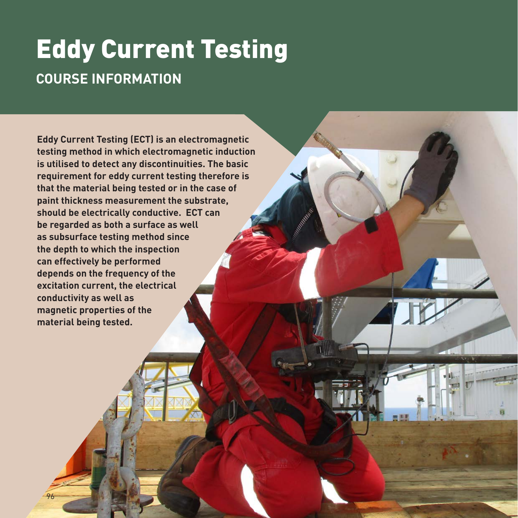## Eddy Current Testing **COURSE INFORMATION**

**Eddy Current Testing (ECT) is an electromagnetic testing method in which electromagnetic induction is utilised to detect any discontinuities. The basic requirement for eddy current testing therefore is that the material being tested or in the case of paint thickness measurement the substrate, should be electrically conductive. ECT can be regarded as both a surface as well as subsurface testing method since the depth to which the inspection can effectively be performed depends on the frequency of the excitation current, the electrical conductivity as well as magnetic properties of the material being tested.**

96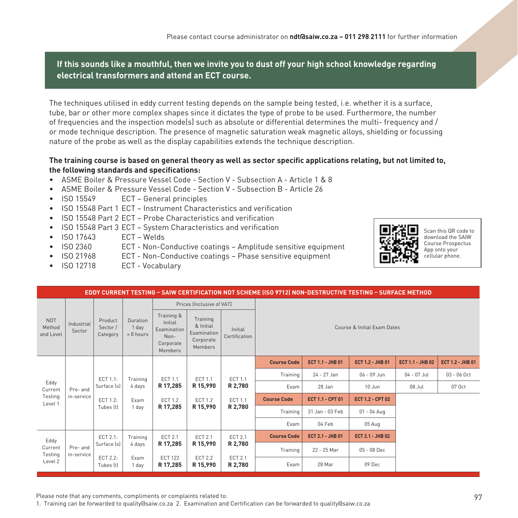**If this sounds like a mouthful, then we invite you to dust off your high school knowledge regarding electrical transformers and attend an ECT course.** 

The techniques utilised in eddy current testing depends on the sample being tested, i.e. whether it is a surface, tube, bar or other more complex shapes since it dictates the type of probe to be used. Furthermore, the number of frequencies and the inspection mode(s) such as absolute or differential determines the multi- frequency and / or mode technique description. The presence of magnetic saturation weak magnetic alloys, shielding or focussing nature of the probe as well as the display capabilities extends the technique description.

#### **The training course is based on general theory as well as sector specific applications relating, but not limited to, the following standards and specifications:**

- ASME Boiler & Pressure Vessel Code Section V Subsection A Article 1 & 8
- ASME Boiler & Pressure Vessel Code Section V Subsection B Article 26
- ISO 15549 ECT General principles
- ISO 15548 Part 1 ECT Instrument Characteristics and verification
- ISO 15548 Part 2 ECT Probe Characteristics and verification
- ISO 15548 Part 3 ECT System Characteristics and verification
- ISO 17643 ECT Welds
- ISO 2360 ECT Non-Conductive coatings Amplitude sensitive equipment
- ISO 21968 ECT Non-Conductive coatings Phase sensitive equipment
- ISO 12718 ECT Vocabulary



Scan this QR code to download the SAIW Course Prospectus App onto your cellular phone.

|                                   |                        |                                 |                                  |                                                                      |                                                                                                                         |                           |                    |                         | EDDY CURRENT TESTING – SAIW CERTIFICATION NDT SCHEME (ISO 9712) NON-DESTRUCTIVE TESTING – SURFACE METHOD |                         |                  |
|-----------------------------------|------------------------|---------------------------------|----------------------------------|----------------------------------------------------------------------|-------------------------------------------------------------------------------------------------------------------------|---------------------------|--------------------|-------------------------|----------------------------------------------------------------------------------------------------------|-------------------------|------------------|
|                                   |                        |                                 |                                  |                                                                      | Prices (Inclusive of VAT)                                                                                               |                           |                    |                         |                                                                                                          |                         |                  |
| <b>NDT</b><br>Method<br>and Level | Industrial<br>Sector   | Product<br>Sector /<br>Category | Duration<br>1 day<br>$= 8$ hours | Training &<br>Initial<br>Examination<br>Non-<br>Corporate<br>Members | Training<br>& Initial<br>Course & Initial Exam Dates<br>Initial<br>Examination<br>Certification<br>Corporate<br>Members |                           |                    |                         |                                                                                                          |                         |                  |
|                                   |                        |                                 |                                  |                                                                      |                                                                                                                         |                           | <b>Course Code</b> | ECT 1.1 - JHB 01        | <b>ECT 1.2 - JHB 01</b>                                                                                  | <b>ECT 1.1 - JHB 02</b> | ECT 1.2 - JHB 01 |
|                                   |                        | ECT 1.1:                        | Training                         | ECT 1.1                                                              | ECT 1.1                                                                                                                 | ECT 1.1                   | Training           | 24 - 27 Jan             | $06 - 09$ Jun                                                                                            | 04 - 07 Jul             | $03 - 06$ Oct    |
| Eddy<br>Current                   | Pre- and               | Surface (s)                     | 4 days                           | R 17,285                                                             | R 15,990                                                                                                                | R 2,780                   | Exam               | 28 Jan                  | 10 Jun                                                                                                   | 08 Jul                  | 07 Oct           |
| Testing<br>Level 1                | in-service             | ECT 1.2:                        | Exam                             | <b>ECT 1.2</b>                                                       | <b>ECT 1.2</b>                                                                                                          | ECT 1.1                   | <b>Course Code</b> | ECT 1.1 - CPT 01        | <b>ECT 1.2 - CPT 02</b>                                                                                  |                         |                  |
|                                   |                        | Tubes (t)                       | 1 day                            | R 17,285                                                             | R 15,990                                                                                                                | R 2,780                   | Training           | 31 Jan - 03 Feb         | $01 - 04$ Aug                                                                                            |                         |                  |
|                                   |                        |                                 |                                  |                                                                      |                                                                                                                         |                           | Exam               | 04 Feb                  | 05 Aug                                                                                                   |                         |                  |
| Eddy                              |                        | ECT 2.1:                        | Training                         | <b>ECT 2.1</b>                                                       | <b>ECT 2.1</b>                                                                                                          | ECT 2.1                   | <b>Course Code</b> | <b>ECT 2.1 - JHB 01</b> | <b>ECT 2.1 - JHB 02</b>                                                                                  |                         |                  |
| Current<br>Testing                | Pre- and<br>in-service | Surface [s]                     | 4 days                           | R 17,285                                                             | R 15,990                                                                                                                | R 2,780                   | Training           | 22 - 25 Mar             | 05 - 08 Dec                                                                                              |                         |                  |
| Level 2                           |                        | ECT 2.2:<br>Tubes (t)           | Exam<br>1 day                    | <b>ECT 122</b><br>R 17,285                                           | <b>ECT 2.2</b><br>R 15,990                                                                                              | <b>ECT 2.1</b><br>R 2,780 | Exam               | 28 Mar                  | 09 Dec                                                                                                   |                         |                  |

Please note that any comments, compliments or complaints related to: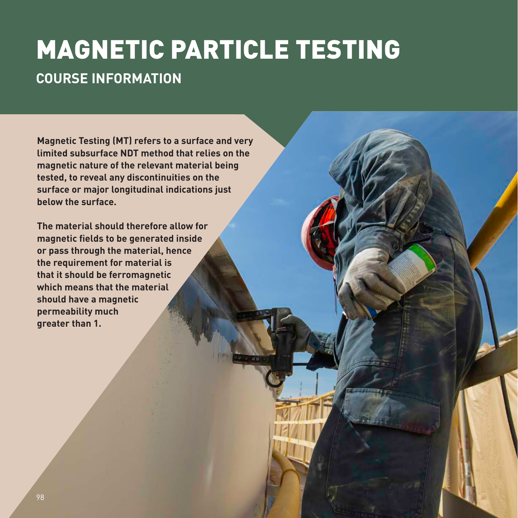# MAGNETIC PARTICLE TESTING

### **COURSE INFORMATION**

**Magnetic Testing (MT) refers to a surface and very limited subsurface NDT method that relies on the magnetic nature of the relevant material being tested, to reveal any discontinuities on the surface or major longitudinal indications just below the surface.** 

**The material should therefore allow for magnetic fields to be generated inside or pass through the material, hence the requirement for material is that it should be ferromagnetic which means that the material should have a magnetic permeability much greater than 1.**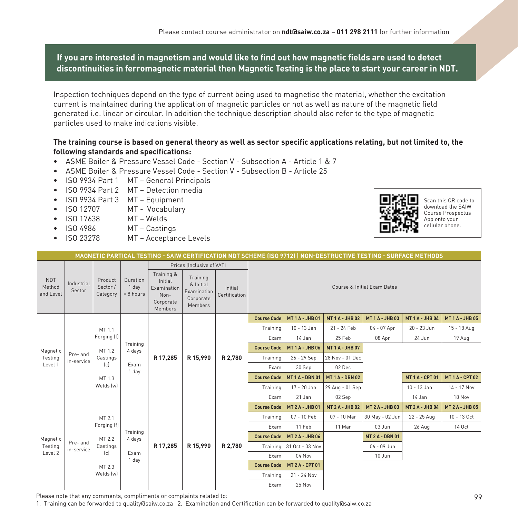#### **If you are interested in magnetism and would like to find out how magnetic fields are used to detect discontinuities in ferromagnetic material then Magnetic Testing is the place to start your career in NDT.**

Inspection techniques depend on the type of current being used to magnetise the material, whether the excitation current is maintained during the application of magnetic particles or not as well as nature of the magnetic field generated i.e. linear or circular. In addition the technique description should also refer to the type of magnetic particles used to make indications visible.

#### **The training course is based on general theory as well as sector specific applications relating, but not limited to, the following standards and specifications:**

- ASME Boiler & Pressure Vessel Code Section V Subsection A Article 1 & 7
- ASME Boiler & Pressure Vessel Code Section V Subsection B Article 25
- ISO 9934 Part 1 MT General Principals
- ISO 9934 Part 2 MT Detection media
- ISO 9934 Part 3 MT Equipment
- ISO 12707 MT Vocabulary
- ISO 17638 MT Welds
- ISO 4986 MT Castings
- ISO 23278 MT Acceptance Levels



Scan this QR code to download the SAIW Course Prospectus App onto your cellular phone.

|                                                          |                      |                                 |                                  |                                                                      |                                                              |                          |                    |                        | MAGNETIC PARTICAL TESTING - SAIW CERTIFICATION NDT SCHEME (ISO 9712)   NON-DESTRUCTIVE TESTING - SURFACE METHODS |                             |                        |                        |
|----------------------------------------------------------|----------------------|---------------------------------|----------------------------------|----------------------------------------------------------------------|--------------------------------------------------------------|--------------------------|--------------------|------------------------|------------------------------------------------------------------------------------------------------------------|-----------------------------|------------------------|------------------------|
|                                                          |                      |                                 |                                  |                                                                      | Prices (Inclusive of VAT)                                    |                          |                    |                        |                                                                                                                  |                             |                        |                        |
| <b>NDT</b><br>Method<br>and Level                        | Industrial<br>Sector | Product<br>Sector /<br>Category | Duration<br>1 day<br>$= 8$ hours | Training &<br>Initial<br>Examination<br>Non-<br>Corporate<br>Members | Training<br>& Initial<br>Examination<br>Corporate<br>Members | Initial<br>Certification |                    |                        |                                                                                                                  | Course & Initial Exam Dates |                        |                        |
|                                                          |                      |                                 |                                  |                                                                      |                                                              |                          | <b>Course Code</b> | <b>MT1A-JHB01</b>      | <b>MT1A-JHB02</b>                                                                                                | <b>MT1A-JHB03</b>           | <b>MT1A-JHB04</b>      | <b>MT1A-JHB05</b>      |
|                                                          |                      | MT 1.1                          |                                  |                                                                      |                                                              |                          | Training           | 10 - 13 Jan            | 21 - 24 Feb                                                                                                      | 04 - 07 Apr                 | 20 - 23 Jun            | 15 - 18 Aug            |
|                                                          |                      | Forging (f)                     |                                  |                                                                      |                                                              |                          | Exam               | 14 Jan                 | 25 Feb                                                                                                           | 08 Apr                      | 24 Jun                 | 19 Aug                 |
| Magnetic<br>Pre- and<br>Testing<br>in-service<br>Level 1 |                      | MT 1.2<br>Castings              | Training<br>4 days               |                                                                      | R 15,990                                                     |                          | <b>Course Code</b> | <b>MT1A-JHB06</b>      | <b>MT1A-JHB07</b>                                                                                                |                             |                        |                        |
|                                                          |                      |                                 |                                  | R 17,285                                                             |                                                              | R 2,780                  | Training           | 26 - 29 Sep            | 28 Nov - 01 Dec                                                                                                  |                             |                        |                        |
|                                                          |                      | (c)                             | Exam<br>1 day                    |                                                                      |                                                              |                          | Exam               | 30 Sep                 | 02 Dec                                                                                                           |                             |                        |                        |
|                                                          |                      | MT 1.3                          |                                  |                                                                      |                                                              |                          | <b>Course Code</b> | <b>MT1A-DBN01</b>      | <b>MT 1 A - DBN 02</b>                                                                                           |                             | <b>MT1A-CPT01</b>      | <b>MT 1 A - CPT 02</b> |
|                                                          |                      | Welds (w)                       |                                  |                                                                      |                                                              |                          | Training           | 17 - 20 Jan            | 29 Aug - 01 Sep                                                                                                  |                             | 10 - 13 Jan            | 14 - 17 Nov            |
|                                                          |                      |                                 |                                  |                                                                      |                                                              |                          | Exam               | 21 Jan                 | 02 Sep                                                                                                           |                             | 14 Jan                 | 18 Nov                 |
|                                                          |                      |                                 |                                  |                                                                      |                                                              |                          | <b>Course Code</b> | <b>MT 2 A - JHB 01</b> | <b>MT 2 A - JHB 02</b>                                                                                           | <b>MT 2 A - JHB 03</b>      | <b>MT 2 A - JHB 04</b> | <b>MT 2 A - JHB 05</b> |
|                                                          |                      | MT 2.1                          |                                  |                                                                      |                                                              |                          | Training           | 07 - 10 Feb            | 07 - 10 Mar                                                                                                      | 30 May - 02 Jun             | 22 - 25 Aug            | 10 - 13 Oct            |
|                                                          |                      | Forging (f)                     | Training                         |                                                                      |                                                              |                          | Exam               | 11 Feb                 | 11 Mar                                                                                                           | 03 Jun                      | 26 Aug                 | 14 Oct                 |
| Magnetic                                                 |                      | MT 2.2                          | 4 days                           |                                                                      |                                                              |                          | <b>Course Code</b> | <b>MT 2 A - JHB 06</b> |                                                                                                                  | <b>MT 2 A - DBN 01</b>      |                        |                        |
| Pre- and<br>Testing                                      | in-service           | Castings                        |                                  | R 17,285                                                             | R 15,990                                                     | R 2.780                  | Training           | 31 Oct - 03 Nov        |                                                                                                                  | 06 - 09 Jun                 |                        |                        |
| Level 2                                                  |                      | (c)                             | Exam<br>1 day                    |                                                                      |                                                              |                          | Exam               | 04 Nov                 |                                                                                                                  | 10 Jun                      |                        |                        |
|                                                          |                      | MT 2.3                          |                                  |                                                                      |                                                              |                          | <b>Course Code</b> | <b>MT 2 A - CPT 01</b> |                                                                                                                  |                             |                        |                        |
|                                                          | Welds (w)            |                                 |                                  |                                                                      |                                                              | Training                 | 21 - 24 Nov        |                        |                                                                                                                  |                             |                        |                        |
|                                                          |                      |                                 |                                  |                                                                      |                                                              | Exam                     | 25 Nov             |                        |                                                                                                                  |                             |                        |                        |

Please note that any comments, compliments or complaints related to: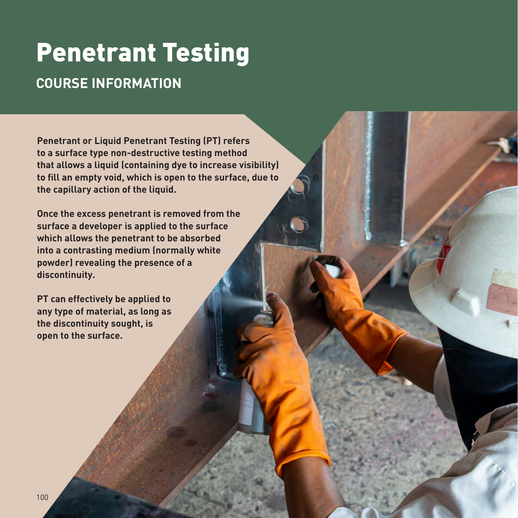## Penetrant Testing **COURSE INFORMATION**

**Penetrant or Liquid Penetrant Testing (PT) refers to a surface type non-destructive testing method that allows a liquid (containing dye to increase visibility) to fill an empty void, which is open to the surface, due to the capillary action of the liquid.** 

**Once the excess penetrant is removed from the surface a developer is applied to the surface which allows the penetrant to be absorbed into a contrasting medium (normally white powder) revealing the presence of a discontinuity.** 

**PT can effectively be applied to any type of material, as long as the discontinuity sought, is open to the surface.**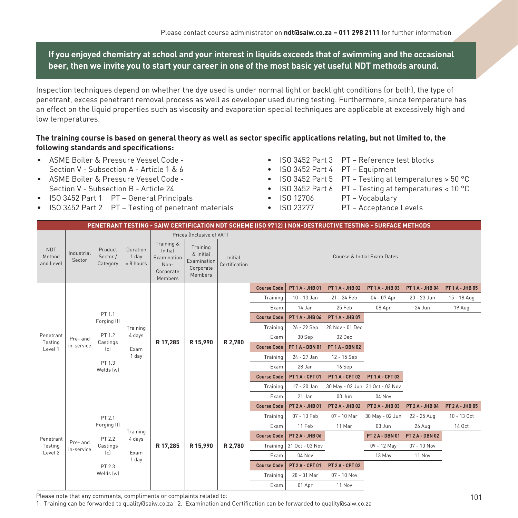**If you enjoyed chemistry at school and your interest in liquids exceeds that of swimming and the occasional beer, then we invite you to start your career in one of the most basic yet useful NDT methods around.**

Inspection techniques depend on whether the dye used is under normal light or backlight conditions (or both), the type of penetrant, excess penetrant removal process as well as developer used during testing. Furthermore, since temperature has an effect on the liquid properties such as viscosity and evaporation special techniques are applicable at excessively high and low temperatures.

#### **The training course is based on general theory as well as sector specific applications relating, but not limited to, the following standards and specifications:**

- ASME Boiler & Pressure Vessel Code Section V - Subsection A - Article 1 & 6
- ASME Boiler & Pressure Vessel Code Section V - Subsection B - Article 24
- ISO 3452 Part 1 PT General Principals
- ISO 3452 Part 2 PT Testing of penetrant materials
- ISO 3452 Part 3 PT Reference test blocks
- ISO 3452 Part 4 PT Equipment
- ISO 3452 Part 5 PT Testing at temperatures > 50 °C
- ISO 3452 Part 6 PT Testing at temperatures <  $10^{\circ}$ C<br>• ISO 12706 PT Vocabulary
- PT Vocabulary
- ISO 23277 PT Acceptance Levels

|                                                           |                           |                                 |                                  |                                                                      |                                                              |                          |                        |                        | PENETRANT TESTING - SAIW CERTIFICATION NDT SCHEME (ISO 9712)   NON-DESTRUCTIVE TESTING - SURFACE METHODS |                             |                        |                        |
|-----------------------------------------------------------|---------------------------|---------------------------------|----------------------------------|----------------------------------------------------------------------|--------------------------------------------------------------|--------------------------|------------------------|------------------------|----------------------------------------------------------------------------------------------------------|-----------------------------|------------------------|------------------------|
|                                                           |                           |                                 |                                  |                                                                      | Prices (Inclusive of VAT)                                    |                          |                        |                        |                                                                                                          |                             |                        |                        |
| <b>NDT</b><br>Method<br>and Level                         | Industrial<br>Sector      | Product<br>Sector /<br>Category | Duration<br>1 day<br>$= 8$ hours | Training &<br>Initial<br>Examination<br>Non-<br>Corporate<br>Members | Training<br>& Initial<br>Examination<br>Corporate<br>Members | Initial<br>Certification |                        |                        |                                                                                                          | Course & Initial Exam Dates |                        |                        |
|                                                           |                           |                                 |                                  |                                                                      |                                                              | <b>Course Code</b>       | <b>PT 1 A - JHB 01</b> | <b>PT 1 A - JHB 02</b> | <b>PT 1 A - JHB 03</b>                                                                                   | <b>PT 1 A - JHB 04</b>      | <b>PT 1 A - JHB 05</b> |                        |
|                                                           |                           |                                 |                                  |                                                                      |                                                              |                          | Training               | 10 - 13 Jan            | 21 - 24 Feb                                                                                              | 04 - 07 Apr                 | 20 - 23 Jun            | 15 - 18 Aug            |
|                                                           |                           |                                 |                                  |                                                                      |                                                              |                          | Exam                   | 14 Jan                 | 25 Feb                                                                                                   | 08 Apr                      | 24 Jun                 | 19 Aug                 |
|                                                           |                           | PT 1.1<br>Forging (f)           |                                  |                                                                      |                                                              |                          | <b>Course Code</b>     | <b>PT 1 A - JHB 06</b> | <b>PT 1 A - JHB 07</b>                                                                                   |                             |                        |                        |
|                                                           |                           |                                 | Training                         |                                                                      |                                                              |                          | Training               | 26 - 29 Sep            | 28 Nov - 01 Dec                                                                                          |                             |                        |                        |
| Penetrant<br>Pre- and<br>Testing<br>in-service<br>Level 1 | PT 1.2<br>Castings<br>(c) | 4 days                          | R 17,285                         | R 15,990                                                             | R 2,780                                                      | Exam                     | 30 Sep                 | 02 Dec                 |                                                                                                          |                             |                        |                        |
|                                                           |                           | Exam                            |                                  |                                                                      |                                                              | <b>Course Code</b>       | <b>PT 1 A - DBN 01</b> | <b>PT 1 A - DBN 02</b> |                                                                                                          |                             |                        |                        |
|                                                           |                           | 1 day                           |                                  |                                                                      |                                                              | Training                 | 24 - 27 Jan            | 12 - 15 Sep            |                                                                                                          |                             |                        |                        |
|                                                           |                           | PT 1.3<br>Welds (w)             |                                  |                                                                      |                                                              |                          | Exam                   | 28 Jan                 | 16 Sep                                                                                                   |                             |                        |                        |
|                                                           |                           |                                 |                                  |                                                                      |                                                              |                          | <b>Course Code</b>     | PT 1 A - CPT 01        | <b>PT 1 A - CPT 02</b>                                                                                   | PT1A-CPT03                  |                        |                        |
|                                                           |                           |                                 |                                  |                                                                      |                                                              |                          | Training               | 17 - 20 Jan            | 30 May - 02 Jun 31 Oct - 03 Nov                                                                          |                             |                        |                        |
|                                                           |                           |                                 |                                  |                                                                      |                                                              |                          | Exam                   | 21 Jan                 | 03 Jun                                                                                                   | 04 Nov                      |                        |                        |
|                                                           |                           |                                 |                                  |                                                                      |                                                              |                          | <b>Course Code</b>     | <b>PT 2 A - JHB 01</b> | <b>PT 2 A - JHB 02</b>                                                                                   | <b>PT 2 A - JHB 03</b>      | <b>PT 2 A - JHB 04</b> | <b>PT 2 A - JHB 05</b> |
|                                                           |                           | PT 2.1                          |                                  |                                                                      |                                                              |                          | Training               | 07 - 10 Feb            | 07 - 10 Mar                                                                                              | 30 May - 02 Jun             | 22 - 25 Aug            | 10 - 13 Oct            |
|                                                           |                           | Forging (f)                     | Training                         |                                                                      |                                                              |                          | Exam                   | 11 Feb                 | 11 Mar                                                                                                   | 03 Jun                      | 26 Aug                 | 14 Oct                 |
| Penetrant                                                 |                           | PT 2.2                          | 4 days                           |                                                                      |                                                              |                          | <b>Course Code</b>     | <b>PT 2 A - JHB 06</b> |                                                                                                          | <b>PT 2 A - DBN 01</b>      | <b>PT 2 A - DBN 02</b> |                        |
| Testing                                                   | Pre- and<br>in-service    | Castings                        |                                  | R 17,285                                                             | R 15,990                                                     | R 2,780                  | Training               | 31 Oct - 03 Nov        |                                                                                                          | 09 - 12 May                 | 07 - 10 Nov            |                        |
| Level 2                                                   |                           | (c)                             | Exam<br>1 day                    |                                                                      |                                                              |                          | Exam                   | 04 Nov                 |                                                                                                          | 13 May                      | 11 Nov                 |                        |
|                                                           |                           | PT 2.3                          |                                  |                                                                      |                                                              |                          | <b>Course Code</b>     | <b>PT 2 A - CPT 01</b> | <b>PT 2 A - CPT 02</b>                                                                                   |                             |                        |                        |
|                                                           | Welds (w)                 |                                 |                                  |                                                                      |                                                              | Training                 | 28 - 31 Mar            | 07 - 10 Nov            |                                                                                                          |                             |                        |                        |
|                                                           |                           |                                 |                                  |                                                                      |                                                              | Exam                     | 01 Apr                 | 11 Nov                 |                                                                                                          |                             |                        |                        |

Please note that any comments, compliments or complaints related to: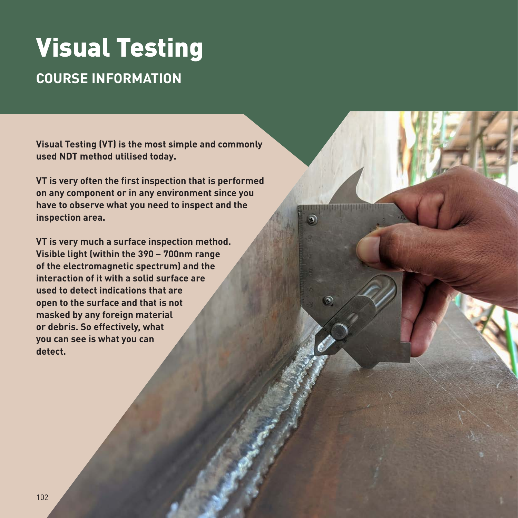# Visual Testing

### **COURSE INFORMATION**

**Visual Testing (VT) is the most simple and commonly used NDT method utilised today.** 

**VT is very often the first inspection that is performed on any component or in any environment since you have to observe what you need to inspect and the inspection area.** 

**VT is very much a surface inspection method. Visible light (within the 390 – 700nm range of the electromagnetic spectrum) and the interaction of it with a solid surface are used to detect indications that are open to the surface and that is not masked by any foreign material or debris. So effectively, what you can see is what you can detect.**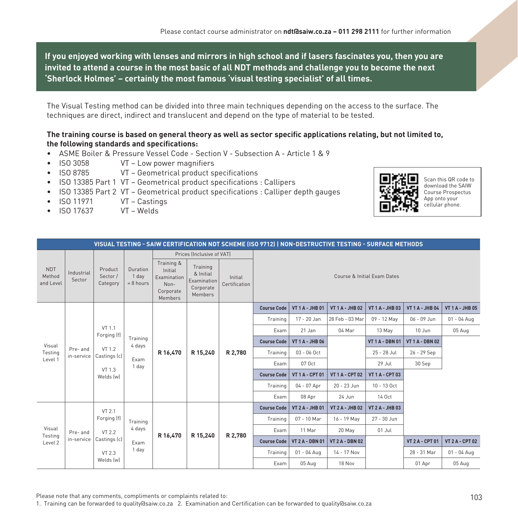**If you enjoyed working with lenses and mirrors in high school and if lasers fascinates you, then you are invited to attend a course in the most basic of all NDT methods and challenge you to become the next 'Sherlock Holmes' – certainly the most famous 'visual testing specialist' of all times.**

The Visual Testing method can be divided into three main techniques depending on the access to the surface. The techniques are direct, indirect and translucent and depend on the type of material to be tested.

#### **The training course is based on general theory as well as sector specific applications relating, but not limited to, the following standards and specifications:**

- ASME Boiler & Pressure Vessel Code Section V Subsection A Article 1 & 9
- ISO 3058 VT Low power magnifiers
- ISO 8785 VT Geometrical product specifications
- ISO 13385 Part 1 VT Geometrical product specifications : Callipers
- ISO 13385 Part 2 VT Geometrical product specifications : Calliper depth gauges
- ISO 11971 VT Castings
- ISO 17637 VT Welds



Scan this QR code to download the SAIW Course Prospectus App onto your cellular phone.

|                                   |                      |                                 |                                  |                                                                                                                                                                                                 |                           |                    |                        |                        | VISUAL TESTING - SAIW CERTIFICATION NDT SCHEME (ISO 9712)   NON-DESTRUCTIVE TESTING - SURFACE METHODS |                        |                        |                        |
|-----------------------------------|----------------------|---------------------------------|----------------------------------|-------------------------------------------------------------------------------------------------------------------------------------------------------------------------------------------------|---------------------------|--------------------|------------------------|------------------------|-------------------------------------------------------------------------------------------------------|------------------------|------------------------|------------------------|
|                                   |                      |                                 |                                  |                                                                                                                                                                                                 | Prices (Inclusive of VAT) |                    |                        |                        |                                                                                                       |                        |                        |                        |
| <b>NDT</b><br>Method<br>and Level | Industrial<br>Sector | Product<br>Sector /<br>Category | Duration<br>1 day<br>$= 8$ hours | Training &<br>Training<br>Initial<br>& Initial<br>Course & Initial Exam Dates<br>Examination<br>Initial<br>Examination<br>Certification<br>Non-<br>Corporate<br>Corporate<br>Members<br>Members |                           |                    |                        |                        |                                                                                                       |                        |                        |                        |
|                                   |                      |                                 |                                  |                                                                                                                                                                                                 |                           |                    | <b>Course Code</b>     | <b>VT 1 A - JHB 01</b> | <b>VT 1 A - JHB 02</b>                                                                                | <b>VT 1 A - JHB 03</b> | <b>VT 1 A - JHB 04</b> | <b>VT 1 A - JHB 05</b> |
|                                   |                      |                                 |                                  |                                                                                                                                                                                                 |                           | Training           | 17 - 20 Jan            | 28 Feb - 03 Mar        | 09 - 12 May                                                                                           | 06 - 09 Jun            | $01 - 04$ Aug          |                        |
|                                   |                      | VT 1.1<br>Forging (f)           |                                  |                                                                                                                                                                                                 |                           |                    | Exam                   | 21 Jan                 | 04 Mar                                                                                                | 13 May                 | 10 Jun                 | 05 Aug                 |
| Visual<br>Pre-and<br>Testing      |                      | Training<br>4 days              |                                  |                                                                                                                                                                                                 |                           | <b>Course Code</b> | <b>VT 1 A - JHB 06</b> |                        | <b>VT 1 A - DBN 01</b>                                                                                | <b>VT 1 A - DBN 02</b> |                        |                        |
|                                   | in-service           | VT 1.2<br>Castings (c)          |                                  | R 16,470                                                                                                                                                                                        | R 15,240                  | R 2.780            | Training               | $03 - 06$ Oct          |                                                                                                       | 25 - 28 Jul            | 26 - 29 Sep            |                        |
| Level 1                           |                      | VT 1.3                          | Exam<br>1 day                    |                                                                                                                                                                                                 |                           |                    | Exam                   | 07 Oct                 |                                                                                                       | 29 Jul                 | 30 Sep                 |                        |
|                                   |                      | Welds (w)                       |                                  |                                                                                                                                                                                                 |                           |                    | <b>Course Code</b>     | <b>VT 1 A - CPT 01</b> | <b>VT 1 A - CPT 02</b>                                                                                | <b>VT 1 A - CPT 03</b> |                        |                        |
|                                   |                      |                                 |                                  |                                                                                                                                                                                                 |                           |                    | Training               | 04 - 07 Apr            | 20 - 23 Jun                                                                                           | 10 - 13 Oct            |                        |                        |
|                                   |                      |                                 |                                  |                                                                                                                                                                                                 |                           |                    | Exam                   | 08 Apr                 | 24 Jun                                                                                                | 14 Oct                 |                        |                        |
|                                   |                      | VT 2.1                          |                                  |                                                                                                                                                                                                 |                           |                    | <b>Course Code</b>     | <b>VT 2 A - JHB 01</b> | <b>VT 2 A - JHB 02</b>                                                                                | <b>VT 2 A - JHB 03</b> |                        |                        |
|                                   |                      | Forging (f)                     | Training                         |                                                                                                                                                                                                 |                           |                    | Training               | 07 - 10 Mar            | 16 - 19 May                                                                                           | 27 - 30 Jun            |                        |                        |
| Visual<br>Pre-and                 |                      | <b>VT 2.2</b>                   | 4 days                           |                                                                                                                                                                                                 |                           |                    | Exam                   | 11 Mar                 | 20 May                                                                                                | 01 Jul                 |                        |                        |
| Testing<br>Level 2                | in-service           | Castings (c)                    | Exam                             | R 16,470                                                                                                                                                                                        | R 15,240                  | R 2,780            | <b>Course Code</b>     | <b>VT 2 A - DBN 01</b> | <b>VT 2 A - DBN 02</b>                                                                                |                        | <b>VT 2 A - CPT 01</b> | <b>VT 2 A - CPT 02</b> |
|                                   |                      | VT 2.3                          | 1 day                            |                                                                                                                                                                                                 |                           |                    | Training               | 01 - 04 Aug            | 14 - 17 Nov                                                                                           |                        | 28 - 31 Mar            | $01 - 04$ Aug          |
|                                   |                      | Welds (w)                       |                                  |                                                                                                                                                                                                 |                           |                    | Exam                   | 05 Aug                 | 18 Nov                                                                                                |                        | 01 Apr                 | 05 Aug                 |

Please note that any comments, compliments or complaints related to: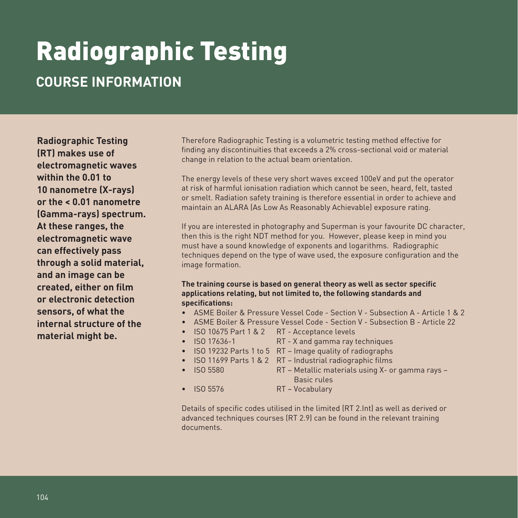# Radiographic Testing

### **COURSE INFORMATION**

**Radiographic Testing (RT) makes use of electromagnetic waves within the 0.01 to 10 nanometre (X-rays) or the < 0.01 nanometre (Gamma-rays) spectrum. At these ranges, the electromagnetic wave can effectively pass through a solid material, and an image can be created, either on film or electronic detection sensors, of what the internal structure of the material might be.** 

Therefore Radiographic Testing is a volumetric testing method effective for finding any discontinuities that exceeds a 2% cross-sectional void or material change in relation to the actual beam orientation.

The energy levels of these very short waves exceed 100eV and put the operator at risk of harmful ionisation radiation which cannot be seen, heard, felt, tasted or smelt. Radiation safety training is therefore essential in order to achieve and maintain an ALARA (As Low As Reasonably Achievable) exposure rating.

If you are interested in photography and Superman is your favourite DC character, then this is the right NDT method for you. However, please keep in mind you must have a sound knowledge of exponents and logarithms. Radiographic techniques depend on the type of wave used, the exposure configuration and the image formation.

#### **The training course is based on general theory as well as sector specific applications relating, but not limited to, the following standards and specifications:**

- ASME Boiler & Pressure Vessel Code Section V Subsection A Article 1 & 2
- ASME Boiler & Pressure Vessel Code Section V Subsection B Article 22
	- ISO 10675 Part 1 & 2 RT Acceptance levels
	- ISO 17636-1 RT X and gamma ray techniques
	- ISO 19232 Parts 1 to 5 RT Image quality of radiographs
	- ISO 11699 Parts 1 & 2 RT Industrial radiographic films
	- ISO 5580 RT Metallic materials using X- or gamma rays Basic rules
	- ISO 5576 RT Vocabulary

Details of specific codes utilised in the limited (RT 2.Int) as well as derived or advanced techniques courses (RT 2.9) can be found in the relevant training documents.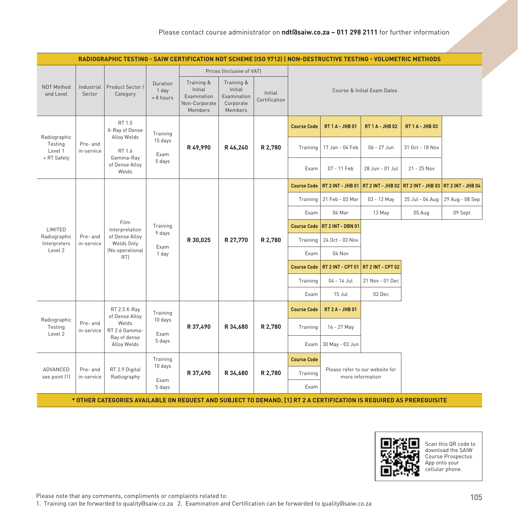|                                               | RADIOGRAPHIC TESTING - SAIW CERTIFICATION NDT SCHEME (ISO 9712)   NON-DESTRUCTIVE TESTING - VOLUMETRIC METHODS |                                                                                                                     |                                  |                                                                                                                                  |                           |                          |                    |                             |                                                     |                          |                   |                 |  |
|-----------------------------------------------|----------------------------------------------------------------------------------------------------------------|---------------------------------------------------------------------------------------------------------------------|----------------------------------|----------------------------------------------------------------------------------------------------------------------------------|---------------------------|--------------------------|--------------------|-----------------------------|-----------------------------------------------------|--------------------------|-------------------|-----------------|--|
|                                               |                                                                                                                |                                                                                                                     |                                  |                                                                                                                                  | Prices (Inclusive of VAT) |                          |                    |                             |                                                     |                          |                   |                 |  |
| NDT Method<br>and Level                       | Industrial<br>Sector                                                                                           | Product Sector /<br>Category                                                                                        | Duration<br>1 day<br>$= 8$ hours | Training &<br>Training &<br>Initial<br>Initial<br>Examination<br>Examination<br>Non-Corporate<br>Corporate<br>Members<br>Members |                           | Initial<br>Certification |                    | Course & Initial Exam Dates |                                                     |                          |                   |                 |  |
| Radiographic                                  |                                                                                                                | RT 1.5<br>X-Ray of Dense<br>Alloy Welds                                                                             | Training                         |                                                                                                                                  |                           | <b>Course Code</b>       |                    | <b>RT 1 A - JHB 01</b>      | <b>RT 1 A - JHB 02</b>                              | <b>RT 1 A - JHB 03</b>   |                   |                 |  |
| Testing<br>Level 1<br>+ RT Safety             | Pre- and<br>in-service                                                                                         | RT 1.6<br>Gamma-Ray                                                                                                 | 15 days<br>Exam                  | R49,990                                                                                                                          | R 46,240                  |                          |                    | R 2,780                     | Training                                            | 17 Jan - 04 Feb          | 06 - 27 Jun       | 31 Oct - 18 Nov |  |
|                                               |                                                                                                                | of Dense Alloy<br>Welds                                                                                             | 5 days                           |                                                                                                                                  |                           |                          | Exam               | 07 - 11 Feb                 | 28 Jun - 01 Jul                                     | 21 - 25 Nov              |                   |                 |  |
|                                               |                                                                                                                |                                                                                                                     |                                  |                                                                                                                                  |                           |                          | <b>Course Code</b> | <b>RT 2 INT - JHB 01</b>    | <b>RT 2 INT - JHB 02</b>                            | <b>RT 2 INT - JHB 03</b> | RT 2 INT - JHB 04 |                 |  |
|                                               |                                                                                                                |                                                                                                                     |                                  |                                                                                                                                  |                           |                          |                    | Training   21 Feb - 03 Mar  | 03 - 12 May                                         | 25 Jul - 04 Aug          | 29 Aug - 08 Sep   |                 |  |
| Film<br>Training<br>LIMITED<br>Interpretation |                                                                                                                |                                                                                                                     | Exam                             | 04 Mar                                                                                                                           | 13 May                    | 05 Aug                   | 09 Sept            |                             |                                                     |                          |                   |                 |  |
|                                               |                                                                                                                |                                                                                                                     |                                  | 9 days                                                                                                                           |                           |                          |                    |                             | Course Code   RT 2 INT - DBN 01                     |                          |                   |                 |  |
| Radiographic<br>Interpreters                  | Pre-and<br>in-service                                                                                          | of Dense Alloy<br>Welds Only                                                                                        | Exam                             | R 30,025                                                                                                                         | R 27,770                  | R 2,780                  | Training           | 24 Oct - 03 Nov             |                                                     |                          |                   |                 |  |
| Level 2                                       |                                                                                                                | (No operational<br>RT)                                                                                              | 1 day                            |                                                                                                                                  |                           |                          |                    | Exam                        | 04 Nov                                              |                          |                   |                 |  |
|                                               |                                                                                                                |                                                                                                                     |                                  |                                                                                                                                  |                           |                          | <b>Course Code</b> | <b>RT 2 INT - CPT 01</b>    | <b>RT 2 INT - CPT 02</b>                            |                          |                   |                 |  |
|                                               |                                                                                                                |                                                                                                                     |                                  |                                                                                                                                  |                           |                          | Training           | 04 - 14 Jul                 | 21 Nov - 01 Dec                                     |                          |                   |                 |  |
|                                               |                                                                                                                |                                                                                                                     |                                  |                                                                                                                                  |                           |                          | Exam               | 15 Jul                      | 02 Dec                                              |                          |                   |                 |  |
| Radiographic                                  |                                                                                                                | RT 2.5 X-Ray<br>of Dense Alloy                                                                                      | Training<br>10 days              |                                                                                                                                  |                           |                          | <b>Course Code</b> | <b>RT 2 A - JHB 01</b>      |                                                     |                          |                   |                 |  |
| Testing<br>Level 2                            | Pre-and<br>in-service                                                                                          | Welds<br>RT 2.6 Gamma-                                                                                              | Exam                             | R 37,490                                                                                                                         | R 34,680                  | R 2,780                  | Training           | 16 - 27 May                 |                                                     |                          |                   |                 |  |
|                                               |                                                                                                                | Ray of dense<br>Alloy Welds                                                                                         | 5 days                           |                                                                                                                                  |                           |                          | Exam               | 30 May - 03 Jun             |                                                     |                          |                   |                 |  |
|                                               |                                                                                                                |                                                                                                                     | Training<br>10 days              |                                                                                                                                  |                           |                          | <b>Course Code</b> |                             |                                                     |                          |                   |                 |  |
| ADVANCED<br>see point (1)                     | Pre-and<br>in-service                                                                                          | RT 2.9 Digital<br>Radiography                                                                                       |                                  | R 37,490                                                                                                                         | R 34,680                  | R 2,780                  | Training           |                             | Please refer to our website for<br>more information |                          |                   |                 |  |
|                                               |                                                                                                                |                                                                                                                     | Exam<br>5 days                   |                                                                                                                                  |                           |                          | Exam               |                             |                                                     |                          |                   |                 |  |
|                                               |                                                                                                                | * OTHER CATEGORIES AVAILABLE ON REQUEST AND SUBJECT TO DEMAND. [1] RT 2 A CERTIFICATION IS REQUIRED AS PREREQUISITE |                                  |                                                                                                                                  |                           |                          |                    |                             |                                                     |                          |                   |                 |  |



Scan this QR code to download the SAIW Course Prospectus App onto your cellular phone.

Please note that any comments, compliments or complaints related to:

1. Training can be forwarded to quality@saiw.co.za 2. Examination and Certification can be forwarded to quality@saiw.co.za

 $\mathbb{R}^2$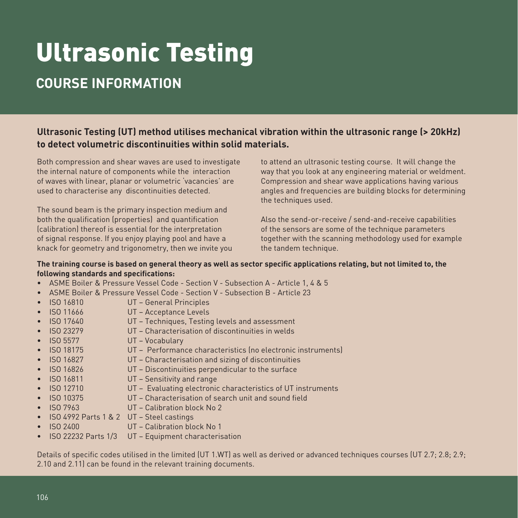# Ultrasonic Testing

### **COURSE INFORMATION**

#### **Ultrasonic Testing (UT) method utilises mechanical vibration within the ultrasonic range (> 20kHz) to detect volumetric discontinuities within solid materials.**

Both compression and shear waves are used to investigate the internal nature of components while the interaction of waves with linear, planar or volumetric 'vacancies' are used to characterise any discontinuities detected.

The sound beam is the primary inspection medium and both the qualification (properties) and quantification (calibration) thereof is essential for the interpretation of signal response. If you enjoy playing pool and have a knack for geometry and trigonometry, then we invite you to attend an ultrasonic testing course. It will change the way that you look at any engineering material or weldment. Compression and shear wave applications having various angles and frequencies are building blocks for determining the techniques used.

Also the send-or-receive / send-and-receive capabilities of the sensors are some of the technique parameters together with the scanning methodology used for example the tandem technique.

#### **The training course is based on general theory as well as sector specific applications relating, but not limited to, the following standards and specifications:**

- ASME Boiler & Pressure Vessel Code Section V Subsection A Article 1, 4 & 5
- ASME Boiler & Pressure Vessel Code Section V Subsection B Article 23
- ISO 16810 UT General Principles
- ISO 11666 UT Acceptance Levels
- ISO 17640 UT Techniques, Testing levels and assessment
- ISO 23279 UT Characterisation of discontinuities in welds
- ISO 5577 UT Vocabulary
- ISO 18175 UT Performance characteristics (no electronic instruments)
- ISO 16827 UT Characterisation and sizing of discontinuities
- ISO 16826 UT Discontinuities perpendicular to the surface
- ISO 16811 UT Sensitivity and range
- ISO 12710 UT Evaluating electronic characteristics of UT instruments
- ISO 10375 UT Characterisation of search unit and sound field
- ISO 7963 UT Calibration block No 2
- ISO 4992 Parts 1 & 2 UT Steel castings
- ISO 2400 UT Calibration block No 1
- ISO 22232 Parts 1/3 UT Equipment characterisation

Details of specific codes utilised in the limited (UT 1.WT) as well as derived or advanced techniques courses (UT 2.7; 2.8; 2.9; 2.10 and 2.11) can be found in the relevant training documents.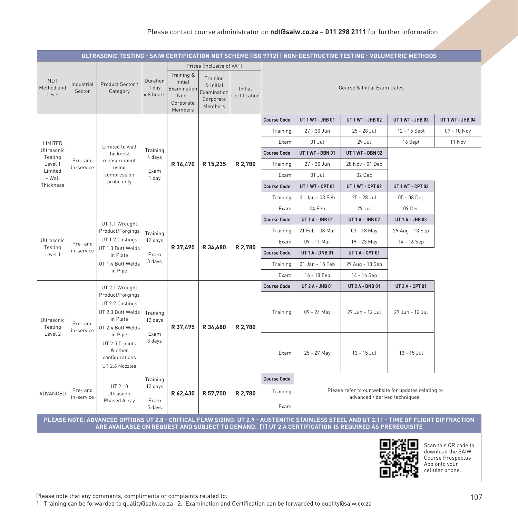#### Please contact course administrator on **ndt@saiw.co.za – 011 298 2111** for further information

| ULTRASONIC TESTING - SAIW CERTIFICATION NDT SCHEME (ISO 9712)   NON-DESTRUCTIVE TESTING - VOLUMETRIC METHODS |                        |                                                                                           |                                  |                                                                      |                                                                                           |                          |                    |                                                     |                                                                                                                                                                                                                                                   |                        |                  |  |
|--------------------------------------------------------------------------------------------------------------|------------------------|-------------------------------------------------------------------------------------------|----------------------------------|----------------------------------------------------------------------|-------------------------------------------------------------------------------------------|--------------------------|--------------------|-----------------------------------------------------|---------------------------------------------------------------------------------------------------------------------------------------------------------------------------------------------------------------------------------------------------|------------------------|------------------|--|
| <b>NDT</b><br>Method and<br>Level                                                                            | Industrial<br>Sector   | Product Sector /<br>Category                                                              | Duration<br>1 day<br>$= 8$ hours | Training &<br>Initial<br>Examination<br>Non-<br>Corporate<br>Members | Prices (Inclusive of VAT)<br>Training<br>& Initial<br>Examination<br>Corporate<br>Members | Initial<br>Certification |                    |                                                     | Course & Initial Exam Dates                                                                                                                                                                                                                       |                        |                  |  |
|                                                                                                              |                        |                                                                                           |                                  |                                                                      |                                                                                           |                          | <b>Course Code</b> | UT 1 WT - JHB 01                                    | UT 1 WT - JHB 02                                                                                                                                                                                                                                  | UT 1 WT - JHB 03       | UT 1 WT - JHB 04 |  |
|                                                                                                              |                        |                                                                                           |                                  |                                                                      |                                                                                           |                          | Training           | 27 - 30 Jun                                         | 25 - 28 Jul                                                                                                                                                                                                                                       | 12 - 15 Sept           | 07 - 10 Nov      |  |
| LIMITED                                                                                                      |                        |                                                                                           |                                  |                                                                      |                                                                                           |                          | Exam               | 01 Jul                                              | 29 Jul                                                                                                                                                                                                                                            | 16 Sept                | 11 Nov           |  |
| Ultrasonic<br>Testing                                                                                        |                        | Limited to wall<br>thickness                                                              | Training<br>4 days               |                                                                      |                                                                                           |                          | <b>Course Code</b> | UT 1 WT - DBN 01                                    | UT 1 WT - DBN 02                                                                                                                                                                                                                                  |                        |                  |  |
| Level 1                                                                                                      | Pre- and<br>in-service | measurement<br>using                                                                      |                                  | R 16,470                                                             | R 15,235                                                                                  | R 2,780                  | Training           | 27 - 30 Jun                                         | 28 Nov - 01 Dec                                                                                                                                                                                                                                   |                        |                  |  |
| Limited<br>- Wall                                                                                            |                        | compression                                                                               | Exam<br>1 day                    |                                                                      |                                                                                           |                          | Exam               | 01 Jul                                              | 02 Dec                                                                                                                                                                                                                                            |                        |                  |  |
| Thickness                                                                                                    |                        | probe only                                                                                |                                  |                                                                      |                                                                                           |                          | <b>Course Code</b> | UT 1 WT - CPT 01                                    | UT 1 WT - CPT 02                                                                                                                                                                                                                                  | UT 1 WT - CPT 03       |                  |  |
|                                                                                                              |                        |                                                                                           |                                  |                                                                      |                                                                                           |                          | Training           | 31 Jan - 03 Feb                                     | 25 - 28 Jul                                                                                                                                                                                                                                       | 05 - 08 Dec            |                  |  |
|                                                                                                              |                        |                                                                                           |                                  |                                                                      |                                                                                           |                          | Exam               | 04 Feb                                              | 29 Jul                                                                                                                                                                                                                                            | 09 Dec                 |                  |  |
|                                                                                                              |                        | UT 1.1 Wrought                                                                            |                                  |                                                                      |                                                                                           |                          | <b>Course Code</b> | <b>UT 1 A - JHB 01</b>                              | <b>UT 1 A - JHB 02</b>                                                                                                                                                                                                                            | <b>UT 1 A - JHB 03</b> |                  |  |
|                                                                                                              |                        | Product/Forgings                                                                          | Training                         |                                                                      | R 34,680                                                                                  |                          | Training           | 21 Feb - 08 Mar                                     | 03 - 18 May                                                                                                                                                                                                                                       | 29 Aug - 13 Sep        |                  |  |
| Ultrasonic<br>Testing                                                                                        | Pre- and               | UT 1.2 Castings<br>UT 1.3 Butt Welds                                                      | 12 days                          | R 37,495                                                             |                                                                                           | R 2,780                  | Exam               | 09 - 11 Mar                                         | 19 - 23 May                                                                                                                                                                                                                                       | 14 - 16 Sep            |                  |  |
| Level 1                                                                                                      | in-service             | in Plate                                                                                  | Exam                             |                                                                      |                                                                                           |                          | <b>Course Code</b> | <b>UT 1 A - DNB 01</b>                              | <b>UT 1 A - CPT 01</b>                                                                                                                                                                                                                            |                        |                  |  |
|                                                                                                              |                        | UT 1.4 Butt Welds                                                                         | 3 days                           |                                                                      |                                                                                           |                          | Training           | 31 Jan - 15 Feb                                     | 29 Aug - 13 Sep                                                                                                                                                                                                                                   |                        |                  |  |
|                                                                                                              |                        | in Pipe                                                                                   |                                  |                                                                      |                                                                                           |                          | Exam               | 16 - 18 Feb                                         | 14 - 16 Sep                                                                                                                                                                                                                                       |                        |                  |  |
|                                                                                                              |                        | UT 2.1 Wrought                                                                            |                                  |                                                                      |                                                                                           |                          | <b>Course Code</b> | <b>UT 2 A - JHB 01</b>                              | <b>UT 2 A - DNB 01</b>                                                                                                                                                                                                                            | <b>UT 2 A - CPT 01</b> |                  |  |
| Ultrasonic<br>Testing                                                                                        | Pre- and<br>in-service | Product/Forgings<br>UT 2.2 Castings<br>UT 2.3 Butt Welds<br>in Plate<br>UT 2.4 Butt Welds | Training<br>12 days              | R 37,495                                                             | R 34,680                                                                                  | R 2,780                  | Training           | 09 - 24 May                                         | 27 Jun - 12 Jul                                                                                                                                                                                                                                   | 27 Jun - 12 Jul        |                  |  |
| Level 2                                                                                                      |                        | in Pipe<br>UT 2.5 T-joints<br>& other<br>configurations<br>UT 2.6 Nozzles                 | Exam<br>3 days                   |                                                                      |                                                                                           |                          | Exam               | 25 - 27 May                                         | 13 - 15 Jul                                                                                                                                                                                                                                       | 13 - 15 Jul            |                  |  |
|                                                                                                              |                        |                                                                                           | Training                         |                                                                      |                                                                                           |                          | <b>Course Code</b> |                                                     |                                                                                                                                                                                                                                                   |                        |                  |  |
| ADVANCED                                                                                                     | Pre- and               | UT 2.10<br>Ultrasonic                                                                     | 12 days                          | R 62,430                                                             | R 57,750                                                                                  | R 2,780                  | Training           | Please refer to our website for updates relating to |                                                                                                                                                                                                                                                   |                        |                  |  |
|                                                                                                              | in-service             | Phased Array                                                                              | Exam<br>5 days                   |                                                                      |                                                                                           |                          | Exam               |                                                     | advanced / derived techniques.                                                                                                                                                                                                                    |                        |                  |  |
|                                                                                                              |                        |                                                                                           |                                  |                                                                      |                                                                                           |                          |                    |                                                     | PLEASE NOTE: ADVANCED OPTIONS UT 2.8 - CRITICAL FLAW SIZING: UT 2.9 - AUSTENITIC STAINLESS STEEL AND UT 2.11 - TIME OF FLIGHT DIFFRACTION<br>ARE AVAILABLE ON REQUEST AND SUBJECT TO DEMAND. [1] UT 2 A CERTIFICATION IS REQUIRED AS PREREQUISITE |                        |                  |  |



Scan this QR code to download the SAIW Course Prospectus App onto your cellular phone.

Please note that any comments, compliments or complaints related to: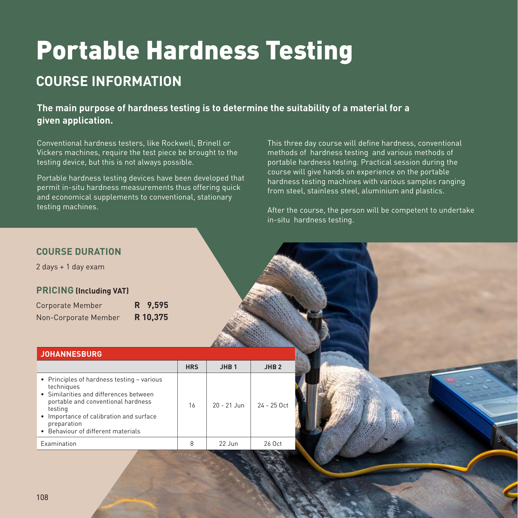# Portable Hardness Testing

### **COURSE INFORMATION**

**The main purpose of hardness testing is to determine the suitability of a material for a given application.**

Conventional hardness testers, like Rockwell, Brinell or Vickers machines, require the test piece be brought to the testing device, but this is not always possible.

Portable hardness testing devices have been developed that permit in-situ hardness measurements thus offering quick and economical supplements to conventional, stationary testing machines.

This three day course will define hardness, conventional methods of hardness testing and various methods of portable hardness testing. Practical session during the course will give hands on experience on the portable hardness testing machines with various samples ranging from steel, stainless steel, aluminium and plastics.

After the course, the person will be competent to undertake in-situ hardness testing.

#### **COURSE DURATION**

2 days + 1 day exam

#### **PRICING (Including VAT)**

| Corporate Member     | R 9,595  |
|----------------------|----------|
| Non-Corporate Member | R 10,375 |

#### **JOHANNESBURG**

|                                                                                                                                                                                                                                                     | <b>HRS</b> | JHB <sub>1</sub>   | JHB <sub>2</sub> |
|-----------------------------------------------------------------------------------------------------------------------------------------------------------------------------------------------------------------------------------------------------|------------|--------------------|------------------|
| • Principles of hardness testing - various<br>techniques<br>• Similarities and differences between<br>portable and conventional hardness<br>testing<br>• Importance of calibration and surface<br>preparation<br>• Behaviour of different materials | 16         | $20 - 21$ Jun      | $24 - 25$ Oct    |
| <b>Examination</b>                                                                                                                                                                                                                                  |            | $22 \; \text{lim}$ | 26 Oct           |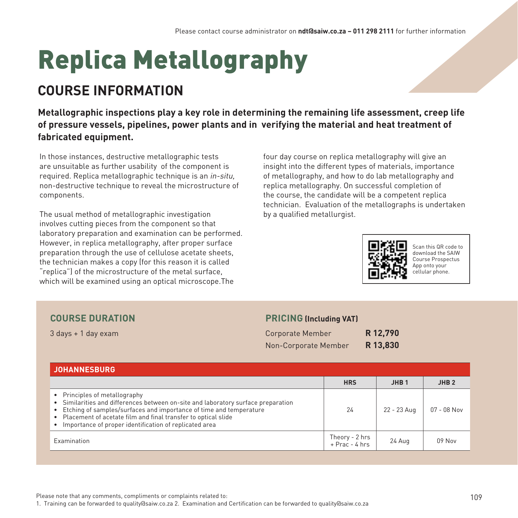# Replica Metallography

### **COURSE INFORMATION**

**Metallographic inspections play a key role in determining the remaining life assessment, creep life of pressure vessels, pipelines, power plants and in verifying the material and heat treatment of fabricated equipment.**

In those instances, destructive metallographic tests are unsuitable as further usability of the component is required. Replica metallographic technique is an in-situ, non-destructive technique to reveal the microstructure of components.

The usual method of metallographic investigation involves cutting pieces from the component so that laboratory preparation and examination can be performed. However, in replica metallography, after proper surface preparation through the use of cellulose acetate sheets, the technician makes a copy (for this reason it is called "replica") of the microstructure of the metal surface, which will be examined using an optical microscope.The

four day course on replica metallography will give an insight into the different types of materials, importance of metallography, and how to do lab metallography and replica metallography. On successful completion of the course, the candidate will be a competent replica technician. Evaluation of the metallographs is undertaken by a qualified metallurgist.



Scan this QR code to download the SAIW Course Prospectus App onto your cellular phone.

#### **COURSE DURATION**

3 days + 1 day exam

#### **PRICING (Including VAT)**

| Corporate Member     | R 12,790 |
|----------------------|----------|
| Non-Corporate Member | R 13,830 |

| <b>JOHANNESBURG</b>                                                                                                                                                                                                                                                                                                     |                                  |                  |                  |
|-------------------------------------------------------------------------------------------------------------------------------------------------------------------------------------------------------------------------------------------------------------------------------------------------------------------------|----------------------------------|------------------|------------------|
|                                                                                                                                                                                                                                                                                                                         | <b>HRS</b>                       | JHB <sub>1</sub> | JHB <sub>2</sub> |
| • Principles of metallography<br>• Similarities and differences between on-site and laboratory surface preparation<br>• Etching of samples/surfaces and importance of time and temperature<br>• Placement of acetate film and final transfer to optical slide<br>Importance of proper identification of replicated area | 24                               | 22 - 23 Aug      | $07 - 08$ Nov    |
| Examination                                                                                                                                                                                                                                                                                                             | Theory - 2 hrs<br>+ Prac - 4 hrs | 24 Aug           | 09 Nov           |

Please note that any comments, compliments or complaints related to: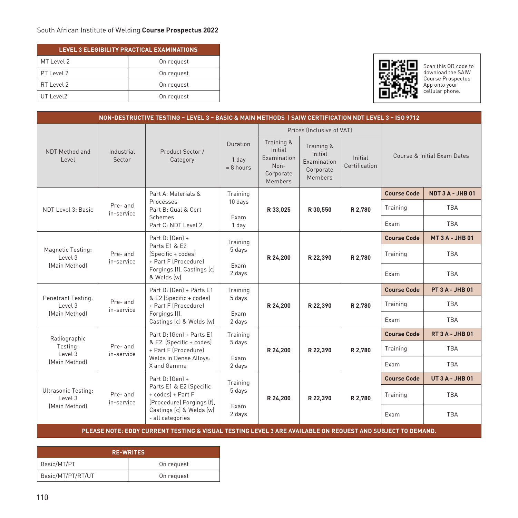| LEVEL 3 ELEGIBILITY PRACTICAL EXAMINATIONS |            |  |  |  |  |  |  |
|--------------------------------------------|------------|--|--|--|--|--|--|
| MT Level 2                                 | On request |  |  |  |  |  |  |
| PT Level 2                                 | On request |  |  |  |  |  |  |
| RT Level 2                                 | On request |  |  |  |  |  |  |
| UT Level <sub>2</sub>                      | On request |  |  |  |  |  |  |



Scan this QR code to download the SAIW Course Prospectus App onto your cellular phone.

| NON-DESTRUCTIVE TESTING - LEVEL 3 - BASIC & MAIN METHODS   SAIW CERTIFICATION NDT LEVEL 3 - ISO 9712 |                        |                                                                                                                                              |                                      |                                                                      |                                                                     |                          |                             |                         |  |  |
|------------------------------------------------------------------------------------------------------|------------------------|----------------------------------------------------------------------------------------------------------------------------------------------|--------------------------------------|----------------------------------------------------------------------|---------------------------------------------------------------------|--------------------------|-----------------------------|-------------------------|--|--|
|                                                                                                      |                        |                                                                                                                                              |                                      | Prices (Inclusive of VAT)                                            |                                                                     |                          |                             |                         |  |  |
| NDT Method and<br>Level                                                                              | Industrial<br>Sector   | Product Sector /<br>Category                                                                                                                 | Duration<br>1 day<br>$= 8$ hours     | Training &<br>Initial<br>Examination<br>Non-<br>Corporate<br>Members | Training &<br>Initial<br>Examination<br>Corporate<br><b>Members</b> | Initial<br>Certification | Course & Initial Exam Dates |                         |  |  |
| NDT Level 3: Basic                                                                                   | Pre- and<br>in-service | Part A: Materials &<br>Processes<br>Part B: Qual & Cert<br>Schemes<br>Part C: NDT Level 2                                                    | Training<br>10 days<br>Exam<br>1 day | R 33,025                                                             | R 30,550                                                            | R 2,780                  | <b>Course Code</b>          | <b>NDT 3 A - JHB 01</b> |  |  |
|                                                                                                      |                        |                                                                                                                                              |                                      |                                                                      |                                                                     |                          | Training                    | <b>TBA</b>              |  |  |
|                                                                                                      |                        |                                                                                                                                              |                                      |                                                                      |                                                                     |                          | Exam                        | <b>TBA</b>              |  |  |
| Magnetic Testing:<br>Level 3<br>[Main Method]                                                        | Pre- and<br>in-service | Part D: (Gen) +<br>Parts E1 & E2<br>(Specific + codes)<br>+ Part F (Procedure)<br>Forgings (f), Castings (c)<br>& Welds [w]                  | Training<br>5 days<br>Exam<br>2 days | R 24,200                                                             | R 22,390                                                            | R 2,780                  | <b>Course Code</b>          | <b>MT 3 A - JHB 01</b>  |  |  |
|                                                                                                      |                        |                                                                                                                                              |                                      |                                                                      |                                                                     |                          | Training                    | <b>TBA</b>              |  |  |
|                                                                                                      |                        |                                                                                                                                              |                                      |                                                                      |                                                                     |                          | Exam                        | <b>TBA</b>              |  |  |
| Penetrant Testing:<br>Level 3<br>[Main Method]                                                       | Pre- and<br>in-service | Part D: (Gen) + Parts E1<br>& E2 (Specific + codes)<br>+ Part F (Procedure)<br>Forgings (f),<br>Castings (c) & Welds (w)                     | Training                             | R 24,200                                                             | R 22,390                                                            | R 2.780                  | <b>Course Code</b>          | <b>PT 3 A - JHB 01</b>  |  |  |
|                                                                                                      |                        |                                                                                                                                              | 5 days                               |                                                                      |                                                                     |                          | Training                    | <b>TBA</b>              |  |  |
|                                                                                                      |                        |                                                                                                                                              | Exam<br>2 days                       |                                                                      |                                                                     |                          | Exam                        | <b>TBA</b>              |  |  |
| Radiographic<br>Testing:<br>Level 3<br>[Main Method]                                                 | Pre- and<br>in-service | Part D: (Gen) + Parts E1<br>& E2 (Specific + codes)<br>+ Part F (Procedure)<br>Welds in Dense Alloys:<br>X and Gamma                         | Training<br>5 days                   | R 24,200                                                             | R 22,390                                                            | R 2,780                  | <b>Course Code</b>          | <b>RT 3 A - JHB 01</b>  |  |  |
|                                                                                                      |                        |                                                                                                                                              |                                      |                                                                      |                                                                     |                          | Training                    | <b>TBA</b>              |  |  |
|                                                                                                      |                        |                                                                                                                                              | Exam<br>2 days                       |                                                                      |                                                                     |                          | Exam                        | <b>TBA</b>              |  |  |
| Ultrasonic Testing:<br>Level 3<br>[Main Method]                                                      | Pre- and<br>in-service | Part D: (Gen) +<br>Parts E1 & E2 (Specific<br>+ codes) + Part F<br>(Procedure) Forgings (f),<br>Castings (c) & Welds (w)<br>- all categories | Training<br>5 days                   | R 24,200                                                             | R 22,390                                                            | R 2,780                  | <b>Course Code</b>          | <b>UT 3 A - JHB 01</b>  |  |  |
|                                                                                                      |                        |                                                                                                                                              |                                      |                                                                      |                                                                     |                          | Training                    | <b>TBA</b>              |  |  |
|                                                                                                      |                        |                                                                                                                                              | Exam<br>2 days                       |                                                                      |                                                                     |                          | Exam                        | <b>TBA</b>              |  |  |

**PLEASE NOTE: EDDY CURRENT TESTING & VISUAL TESTING LEVEL 3 ARE AVAILABLE ON REQUEST AND SUBJECT TO DEMAND.**

| <b>RE-WRITES</b>  |            |  |  |  |  |  |
|-------------------|------------|--|--|--|--|--|
| Basic/MT/PT       | On request |  |  |  |  |  |
| Basic/MT/PT/RT/UT | On request |  |  |  |  |  |